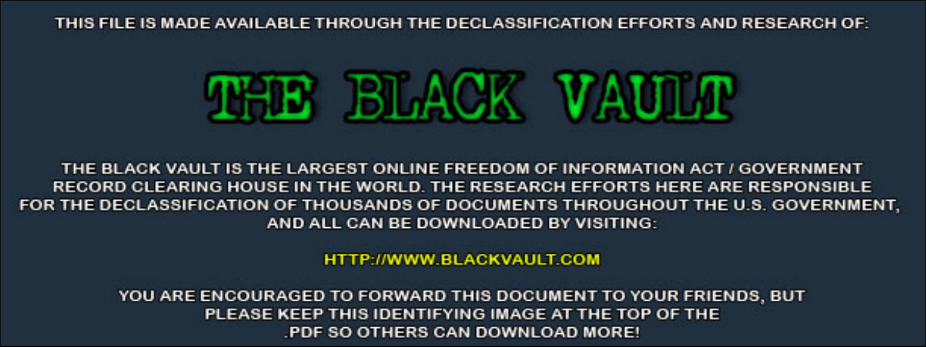THIS FILE IS MADE AVAILABLE THROUGH THE DECLASSIFICATION EFFORTS AND RESEARCH OF:



THE BLACK VAULT IS THE LARGEST ONLINE FREEDOM OF INFORMATION ACT / GOVERNMENT RECORD CLEARING HOUSE IN THE WORLD. THE RESEARCH EFFORTS HERE ARE RESPONSIBLE FOR THE DECLASSIFICATION OF THOUSANDS OF DOCUMENTS THROUGHOUT THE U.S. GOVERNMENT, AND ALL CAN BE DOWNLOADED BY VISITING:

**HTTP://WWW.BLACKVAULT.COM** 

YOU ARE ENCOURAGED TO FORWARD THIS DOCUMENT TO YOUR FRIENDS, BUT PLEASE KEEP THIS IDENTIFYING IMAGE AT THE TOP OF THE PDF SO OTHERS CAN DOWNLOAD MORE!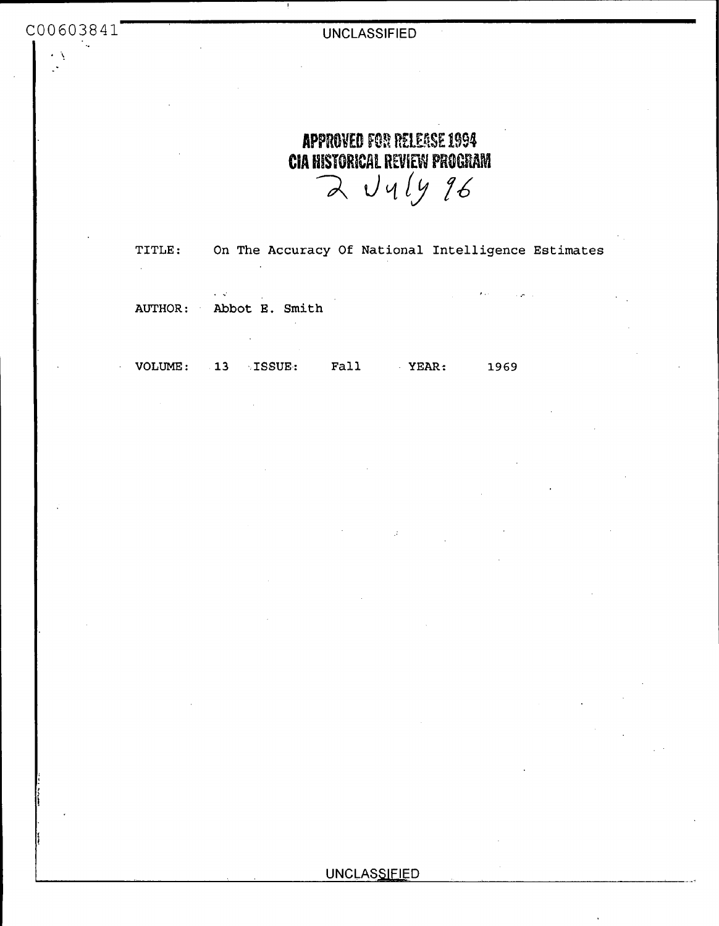| ٠. |         |                                                                                            |
|----|---------|--------------------------------------------------------------------------------------------|
|    |         | <b>APPROVED FOR RELEASE 1994</b><br><b>CIA HISTORICAL REVIEW PROGRAM</b><br>$2$ $U4ly$ 96  |
|    | TITLE:  | On The Accuracy Of National Intelligence Estimates<br>$\cdot$                              |
|    |         | and the company of the company of the<br><b>KIND OF BUILDING</b><br>AUTHOR: Abbot E. Smith |
|    | VOLUME: | <b>13</b> ISSUE:<br>Fall<br>YEAR:<br>1969                                                  |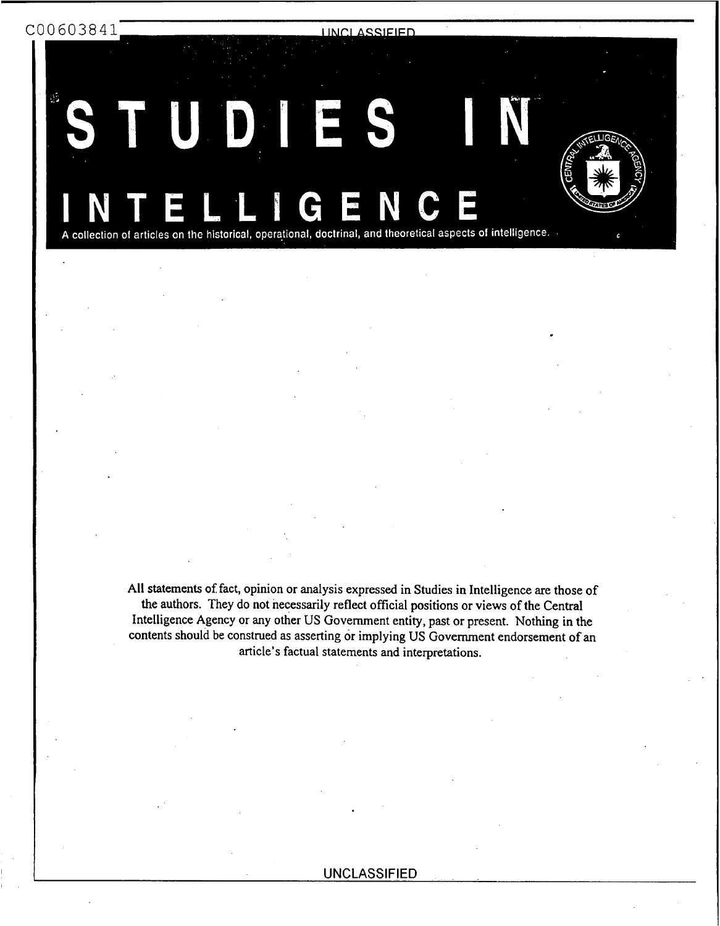C00603841

**UNCLASSIFIED** 

D 

A collection of articles on the historical, operational, doctrinal, and theoretical aspects of intelligence.

All statements of fact, opinion or analysis expressed in Studies in Intelligence are those of the authors. They do not necessarily reflect official positions or **views** of the Central Intelligence Agency or any other **US** Government entity, past or present. Nothing in the contents should **be** construed as asserting **or** implying US Government endorsement of **an**  article's factual statements and interpretations.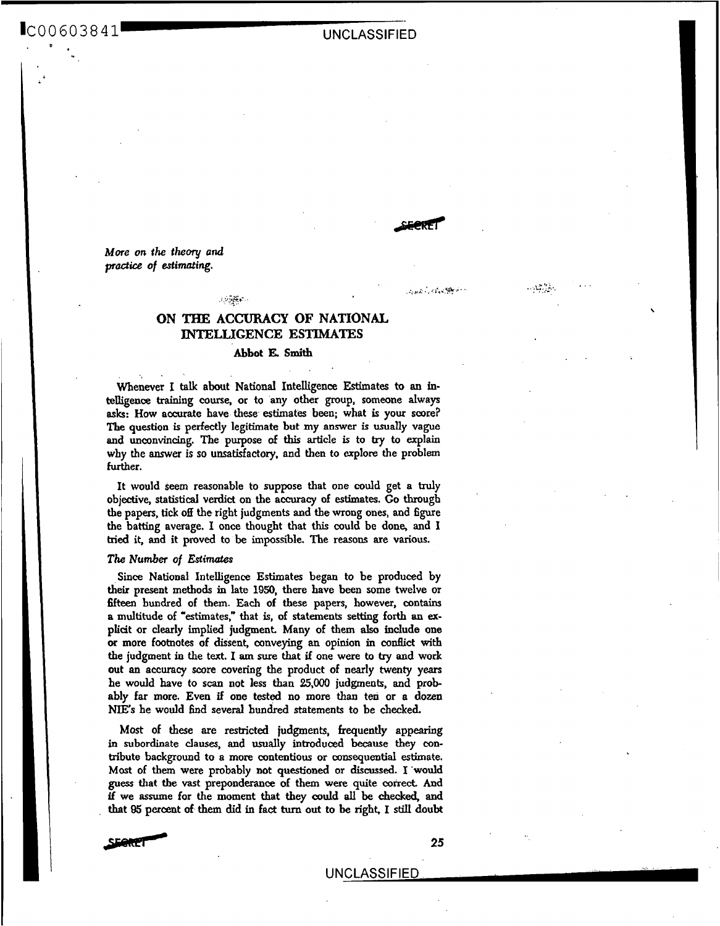# IC0 0 60 *3* 8 4 1 UNCLASSIFIED

*More* **on** *the* **theory and**  *practice of estimating.* 

## **ON THE ACCURACY OF NATIONAL, INTELLIGENCE ESTIMATES**

. <br> <br> , we find  $\omega$  .

## Abbot **E. Smith**

Whenever I talk about National Intelligence Estimates to an intelligence training course, or to any other group, someone always **ask: How** accurate have these estimates been; what is **your** score? The question is perfectly legitimate but my answer is usually vague and **unconvincing.** The purpose **of this** article is to **by** to **explain why** the answer is **so** unsatisfactory, and then to **explore** the problem further.

It would seem reasonable **to** suppose that **one** could get a **truly**  objective, **statistical** verdict on the accuracy of estimates. Go through the papers, **tick off** the right judgments and **the** wrong **ones,** and figure the batting average. I once thought that this could be done, and I **tried** it, and it proved to be impossible. The **reasons are various.** 

### *The* **Number** *of Estifitates*

**Since** National Intelligence Estimates began to be produced by their present methods in late **1950,** there have been some twelve or fifteen hundred of them. Each of these papers, however, contains a multitude **of** "estimates," that is, of statements setting forth **an ex**plicit or clearly implied judgment. Many of them also include one *or* more footnotes of dissent, conveying **an** opinion in conflict with the judgment in the text. I **am** sure **that** if one were **to try** and work out **an** accuracy **score** covering the product **of** nearly twenty years he **would** have **to scan** not less **than** *25,OOO* judgments, and probably far more. Even if one tested no **more** than ten or a dozen **NIE's** he would find several **hundred** statements to be checked.

Most of these are restricted judgments, frequently appearing in subordinate clauses, **and usually** introduced because they contribute background to a **more** contentious or consequential estimate. **Most** of them were probably not questioned or **discussed.** I **'would**  guess that the vast preponderance of them were quite correct. And *if* we assume for the **moment that** they could **all be &&ed, and**  that **Q5** percent **of them** did in fact *tum* out **to be** right. **I stiU doubt** 



**25** 

, ,L. **.a** . ... , *:..y.* 

فللأخذ كورب أرجون والمنا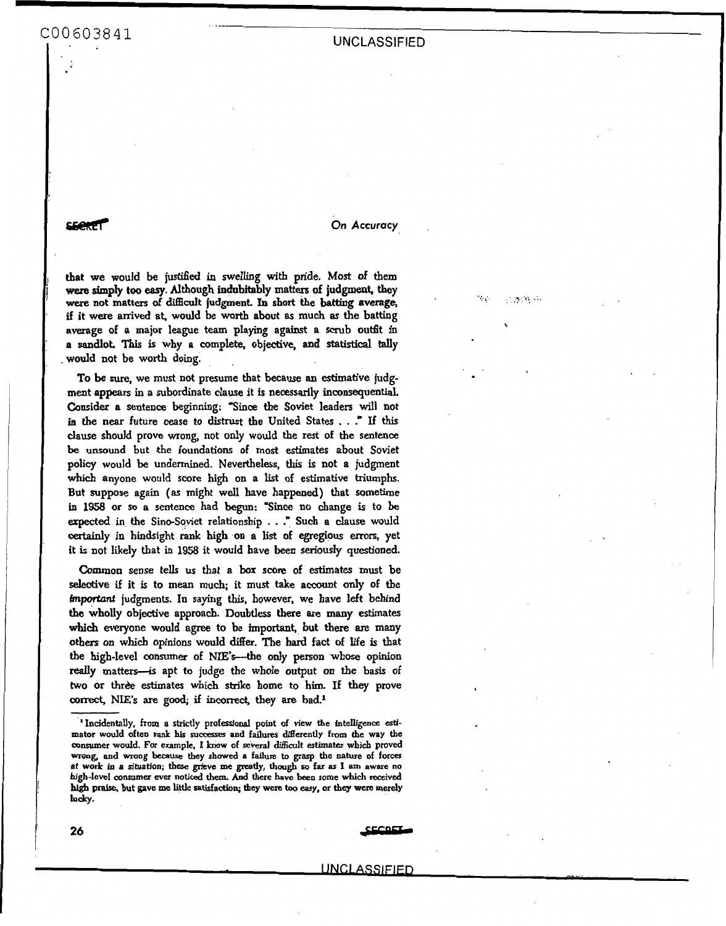seeker **On Accuracy On Accuracy** 

16. L

计光谱器

that **we** would be **rustified** in swelling with pride. **Most** of **them wem** simply **too** *easy.* Although indubitably **matters** of judgmeat, they **were** not matters of **diffidt** judgment In **short** the **batting** average, *if* it were arrived **at,** would be **worth** about **as** much **as** the batting average of a major league team playing against a scrub outfit in a **sandlot.** This is why a complete, objective, and **statistical** tally . would not be worth doing.

- \_\_\_

**To be** sure, we must not presume that because **an** estimative judgment appears in a subordinate clause it is necessarily inconsequential. Consider a sentence beginning: **Since** the Soviet leaders will not in the **near** future **cease** to **distrust the** United States . . ." If **this**  clause should prove **wrong,** not **only** would the rest of the sentence **be** unsound but **the** foundations of most **estimates** about Soviet policy would be undermined. Nevertheless, **this** is not a judgment which anyone would score high on a list of estimative triumphs. But suppose again **(as** might well have happened) that sometime in **1958 or so a** sentence had begun: "Since no change **is** to be expected in the Sino-Soviet relationship . . ." Such a clause would **certainly** in hindsight **rank high on** a list of egregious **mors,** yet it is not likely that in **1958** it would have **been** seriously questioned.

Common sense tells **us that** a **box score** of estimates must be selective if it is to mean much; it must take account *ody* of the **fmportant** judgments. **In** saying **this,** however, we have left behind **the** wholly objective approach. Doubtless there **are** many **estimates**  which everyone would agree to be important, but there are many **others** on **which** opinions would differ. The hard fact of life **is** that the high-level consumer of NIE's---the only person whose opinion really matters-is apt to judge the whole output on the basis of two or thrèe estimates which strike home to him. If they prove correct, NIE's are good; if incorrect, they are bad.<sup>1</sup>

**26** \_EeFnrs-

**<sup>&#</sup>x27;Incidentally,** from **a strictly professional point of** view **the intenigence atimator would often rank his surressec and failures differently from the way the consumer would. For example, I lcnow of several difficult estimates wbich proved**  wrong, and wrong because they showed a failure to grasp the nature of forces **at work** *in* **a dtuation;** these **grieve me greatly, though so far as I am aware no high-level consumer ever noticed** them. *And* **there have been some which received hi& praise, but gave me little satisfaction; they were too** *easy.* **or they were merely**  lucky.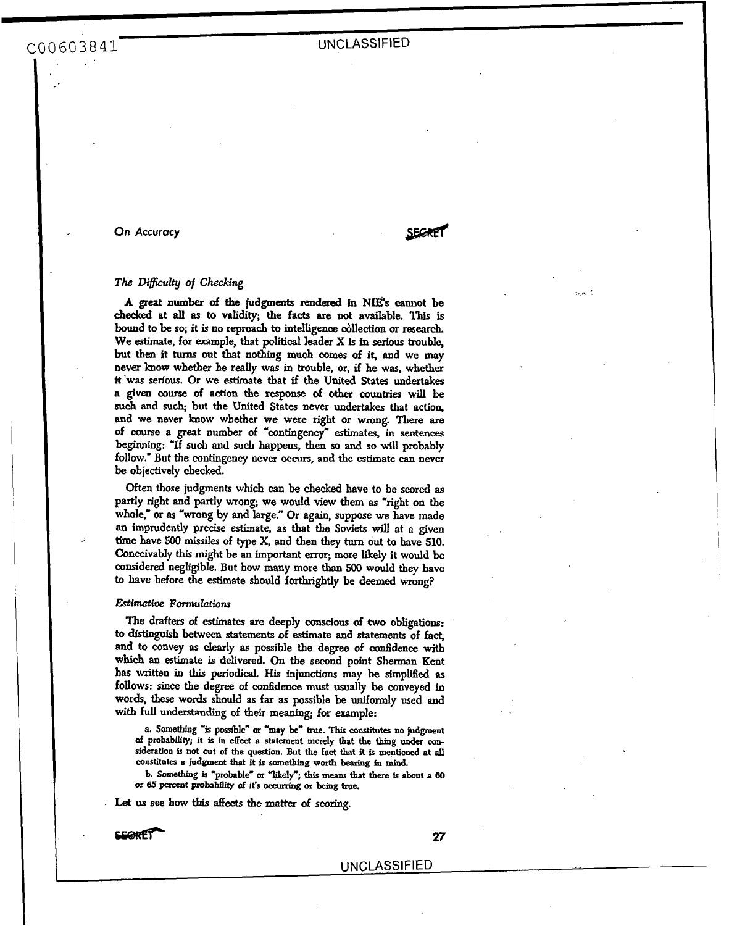*On* **Accuracy** 

**SECRET** 

## *The Difficulty of Checking*

**A** great **number of** the judgments **rendered** &I **NDE;'s** cannot be *checked* **at** *all* **as to** validity; **the** facts are **not** available. This **is**  bound to **be so;** it is **no** reproach to intelligence &llection *or* **research.**  We estimate, for example, that **political** leader **X** is in serious trouble, but **then** it turns out that **nothing much comes of** it, and we may never **bow** whether he really was in trouble, or, if he **was,** whether #'was **serious.** Or we estimate that if the United States undertakes **a given** *course* of action **the response** of other countries will **be**  *such* and **such;** but the United States never undertakes that action, and we never **know** whether we were right or **wrong.** There *are*  of course **a** great number **of** "contingency" **hates,** *in* sentences beginning: **"If** *such* and **such** happens, then **so and so** will probably follow." But the **contingency** never *occurs,* **and the estimate** *can* never be objectively checked.

Often those judgments **which** can be checked have to be scored **as partly** right and **partly** wrong; we would view **them as** "right **on** the whole," or as "wrong by and large." Or again, suppose we have made **an** imprudently precise estimate, *as* that the **Soviets** will at **a** given time have **500 missiles of** type **X, and** then they **turn** out **to** have 510. Conceivably this might be an important error; more likely it would be considered negligible. But **how** many more than **500** would they have to have before **the** estimate should forthrightly be deemed **wrong?** 

### *Estimative Formulations*

**The drafters of estimates** are deeply **conscious** of *two* obligations: *to* distinguish **between** statements of estimate **and** statements of fact, and to convey **as** clearly **as** possible the degree of confidence with **which an** estimate is delivered. **On the** second point **Sherman** Kent has written in this periodical. His injunctions may be simplified as follows: since the degree of **confidence must usually** be conveyed **in**  words, these words should **as** far as possible be **uniformly** used and **with full understanding** of their **meaning;** for example:

**a. Sometbing -is possible"** *or* **"may be"** *true.* This **constitutes no judgment of probability; it is in** *&ect* **a statement merely that the thing under amsideration is not out** *of* **the question. But the fact that it is mentioned at dl**  constitutes **e judgment that it is something wurth bearing in mind,** 

**b. Something is 'probable" or 'likely";** this **means that there is about a** *80*  **or** *85* **perceot pbabflity** *of* **it's occurchg** *01* **beiog** *true.* 

Let us see how this affects the matter of scoring.

*sBZRE7- 27*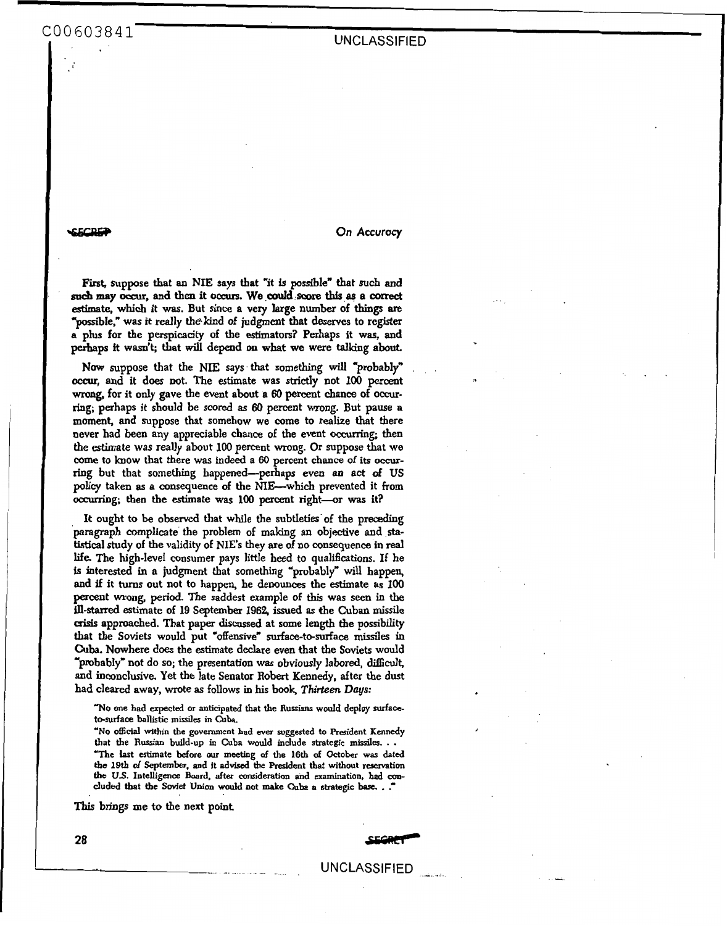**SECRET CONFIDENTIAL CONFIDENTIAL CONFIDENTIAL CONFIDENTIAL CONFIDENTIAL CONFIDENTIAL CONFIDENTIAL CONFIDENTIAL CONFIDENTIAL CONFIDENTIAL CONFIDENTIAL CONFIDENTIAL CONFIDENTIAL CONFIDENTIAL CONFIDENTIAL CONFIDENTIAL CONFID** 

First, suppose that an NIE says that "it is possible" that such and  $s$ **uch** may occur, and then it occurs. We could score this as a correct estimate, which it **was.** But *since* a very large **numbex** of things **are**  "possible," was it really the kind of judgment that deserves to register **a plus** for the perspicacity of the estimators? Perhaps it was, and perhaps **it** wasn't; that will depend *on* **what** we were talking **about.** 

Now suppose that the NIE says that something will "probably" *occur,* **and** it does not. The estimate was **strictly** not **100** percent **wrong,** for it only gave the event about a **60** percent chance of **occurring;** perhaps it should be scored **as** *60* percent wrong. But pause **a moment,** and suppose that somehow we come to realize that there never had **been** any appreciable chance of the event occurring; then the estimate **was** really about **100** percent **wrong. Or** suppose that we come to **know** that there **was** indeed **a 60 percent chance of its** *occur*ring but that something happened-perhaps even **an** act **of US**  policy taken **as** a consequence of the NIE-which prevented it **from**  OCNITiDg; then the estimate was **100** percent right-or **was** it?

It ought to be observed that while the subtleties of the preceding paragraph complicate the problem of making **an** objective and *sta***tistical** study of **the** validity of **NIEs** they are of **no** consequence in **real life** The high-level consumer pays little heed **to** qualifications. If he is interested in a judgment that something "probably" will happen, and **if** it **turns** out not to happen, he denounces the estimate **as** 100 pacent **wrong,** period. The saddest example of **this** was seen in **the ill-starred** estimate of **19** September 1962, issued *8s* the Cubad **missile aisis** approached. That paper discussed at some length the possibility that the Soviets would put "offensive" surface-to-surface missiles in **Cuba.** Nowhere does the estimate declare even that the Soviets would 'probably" not **do so;** the presentation **was** obviously labored, **difficult,**  and inconclusive. Yet the late Senator Robert Kennedy, after the dust had **cleared** away, wrote **as** follows in **his book,** *Thirteen* **Days:** 

**"No one had expected or anticipated that the Russians would deploy surfaceto-surface ballistic missiles in Cuba.** 

**"No official within the government had ever suggested to President Kennedy that the Russian build-up in Cuba would indude strategic missiles.** . . **"The** *iaSt* **estimate before** *our* **meeting of the 16th of October was dated the 19th of September, and it advised the President that without reservation**  the U.S. Intelligence Board, after consideration and examination, had concluded that the Soviet Union would not make Cuba a strategic base..."

**This** brings me **to** the next **point** 

**28** *SuteF*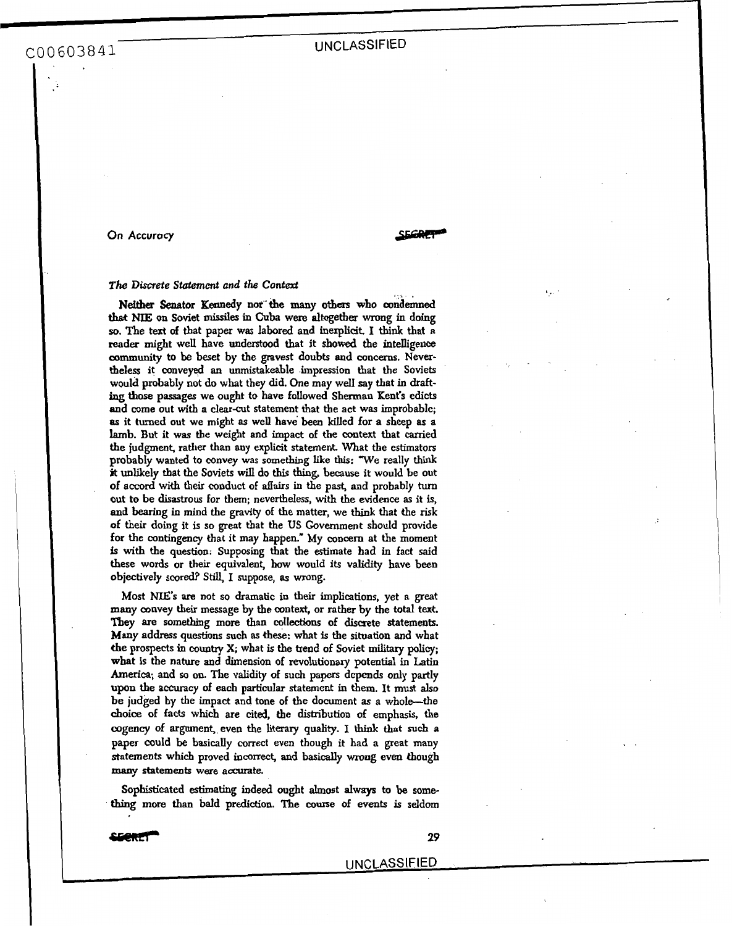**On** Accuracy

## *The Discrete Statement and the* **Context**

Neither Senator Kennedy nor the many others who condemned **that** NIE on Soviet **missiles m Cuba** were altogetber **wrong** in doing **so.** The text **of** hat paper **was** labored and inexplicit. I **think** that **<sup>a</sup>** reader might well have understood that it showed the intelligence **community to** be beset by the gravest doubts **and concerns.** Nevertbeless it conveyed **an** unmistakable **impression** that the Soviets would probably not do what they did. One may **welI** say that in **drafting** those passages we ought to have followed Sherman Kent's edicts and come out with a clear-cut statement that the act was improbable; **as** it turned out we might **as** well have **been** killed for **a** sheep **as a**  lamb. But it was the weight and impact of the context that carried the judgment, rather than any explicit statement, What the estimators probably wanted to convey was something like this: "We really think **jt** unlikely **that** the Soviets will do **this thing, because** it would be out **of accord** with their conduct of **&airs** in the past, and probably turn out to be **disastrous** for them; nevertheless, with **the evidence as** it is, and bearing in mind the gravity of the matter, we think that **the risk**  of their doing it is **so** great that the **US** Government should provide for the contingency that it may happen." My **concern** at the moment **js** with the question: Supposing **that** the estimate had in fact said these words or their equivalent, how would its **validity** have **been**  objectively **scored? Still,** I suppose, **as wrong.** 

Most **NE'S** *are* Dot **so** dramatic in **their** implications, yet a great many convey their message by the context, or rather by the total text. **They are** something **more than** collections of discrete statements. Many address questions such **as these:** what is **the situation** and what **the** prospects in country **X;** what is the trend of Soviet **military policy;**  what is the nature **and** dimension of revolutionary potential in **Latin**  America; and *so* **on.** The validity of such papers depends **only** partly upon the accuracy of each particular statement in them. It must **also be** judged by the impact and tone of the document **as a** whole-the **choice** of facts which are cited, the distribution **of emphasis, the**  cogency of argument, even the literary **quality. I think** that *such* **a**  paper could be **basically** correct even though it had **a** great **many**  statements which proved incorrect, and basically wrong even though **many** statements were accurate.

Sophisticated **estimating indeed** ought **almost always** to **be something more than** bald prediction. **The course** of events is **seldom** 

**esercity** 29

<u>.</u>

\_. UNCLASSIFIED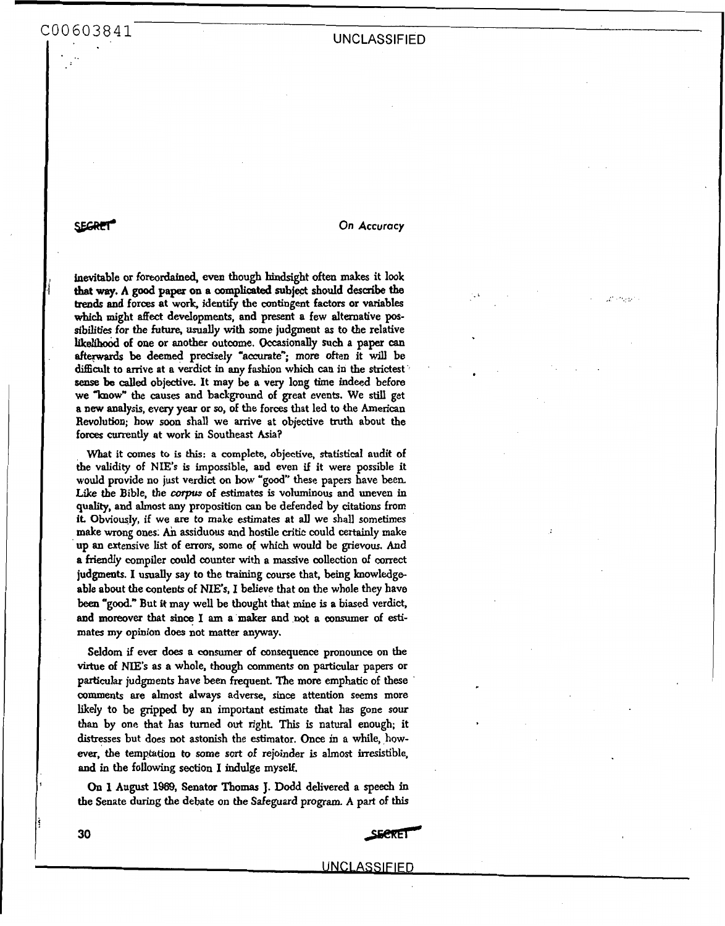*30* 

**example 20 Accuracy** On Accuracy

fnevitable **or foreodahed,** even though bindsight **often** makes it **look trends** and forces at work, identify the **contingent** factors or variables which might affect developments, and present a few alternative pos**sibilities** for the futute, *UsUBuy* with some judgment **as to** the relative likelihood of one or another outcome. Occasionally such a paper can afterwards be deemed precisely "accurate"; more often it will be difticult to arrive at **a** verdict in any **fashion** which **can** in the strictest *seax* **be** *called* objective. It may be **a** very long time indeed before we "know" the causes and background of great events. We still get **a new** analysis, every year or **so, of** the **forces** that led to the American Revolution; how **soon** shall we arrive at objective truth about the forces currently at work in Southeast **Asin? that way. A good** paper **on a** ccnnplicated **subject should describe the .i** 

What it comes **to** is **this: a** complete, **objective, statistical** audit of the validity of **NIE's** is impossible, and even if it were possible it would provide no just verdict on how "good" these papers have been. Like the Bible, the *corpus* of estimates is voluminous and uneven in quality, and almost any proposition *can* **be** defended by citations from it. Obviously, if we *are* to make estimates at **all** we shall sometimes **make** wrong **ones.** Ah assiduous and hostile critic could certainly make up **an** extensive list of **errors,** some of which would be grievous. And **a friendly** compiler could counter with **a** massive collection of correct judgments. **I** usually say to the **training** course that, **being knowledge**  able about the contents of **NIE's, I** believe that **on** the whole they have been **"good."** But **it** may well be thought that mine is **a** biased verdict, and moreover that since I am a maker and not a consumer of estimates **my opinion** does not matter anyway.

**Seldom** if ever **does** a consumer of consequence pronounce on the virtue of **NIE's as a** whole, though comments **on** particular papers or particular judgments have been frequent. The **more** emphatic of these comments are almost always adverse, **since** attention seems more likely to be gripped **by** an important estimate that has gone **sour than** by one that **has turned** out right. This is natural enough; it **distresses** but **does** wt astonish the estimator. *Once* in **a** while, how**eveq'tbe** temptation to some **sort of** rejoinder is almost irresistible, and in the following **section** I indulge myself.

*On* **1** August **1969,** Senator **Thomas** J. Dodd delivered **a** *speech* in the Senate during the debate **on** the Safeguard program. **A** part of **this** 

## **UNCLASSIFIED**

SECRET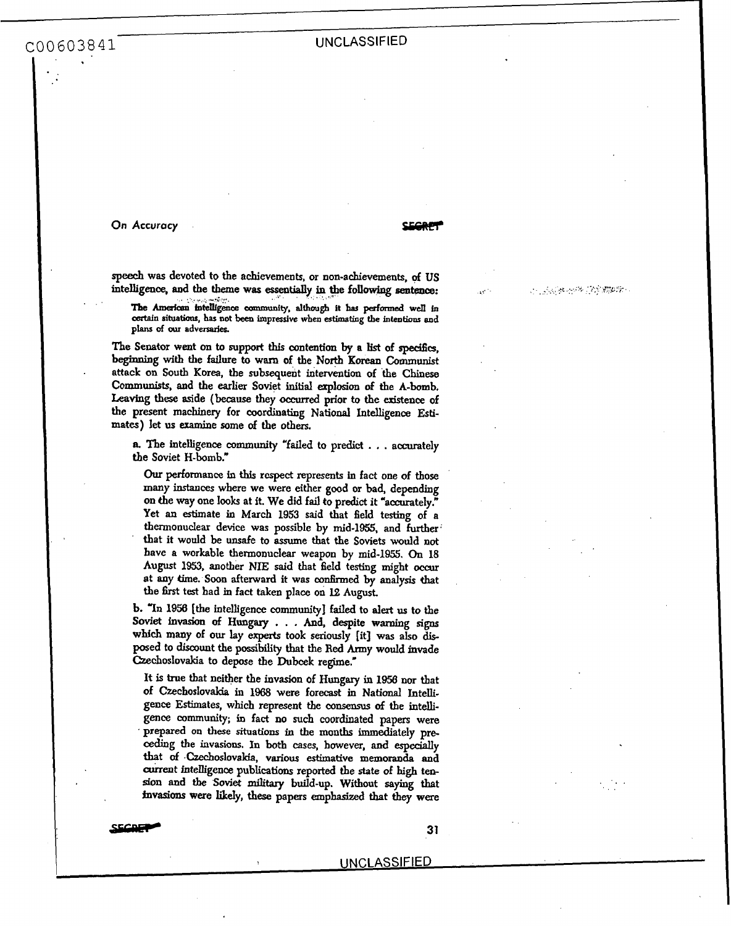## **UNCLASSIFIED**

**On Accuracy fsciial CEGAP** 

*speech* was devoted to the achievements, or non-achievements, **of US**  intelligence, and the theme was essentially in the following sentence:

The American intelligence community, although it has performed well in **certain** situatious, **has not** been **impressive when estimating the intentionr and**  plans of our adversaries.

*The* Senator went *on* to **support this** contention **by a list of** *specifics,*  **beginning** with the failure **to warn** of the **North Korean** Communist **attack on South** Korea, the subsequent intervention of the **Chinese Communists,** and the **earlier** Soviet **initial** explosion **of the A-bomb. Leaving** these aside **(because** they *occurred* prior *to* **the** existence of **the** present **machinery** for coordinating **National** Intelligence **Esti**mates) let **us** examine some **of the others.** 

**a** The intelligence **community** "failed to predict . . . accurately the Soviet **H-bomb."** 

*Our* **performance** in **this** respect represents in fact one of those **many instances** where we were either good or bad, depending **on** *the* way one **looks at it.** We did fail *to* predict it "accurately." Yet **an** estimate in March 1953 said that field testing of a thermonuclear device **was** possible by mid-1955, and further **that** it would be unsafe to assume that the **Soviets** would **not**  have **a** workable thermonuclear weapon **by** mid-1955. *On* 18 August 1953, another NIE said that field testing might occur at any time. Soon afterward it was confirmed by analysis that **the first** test bad **m** fact taken place on **E?, August.** 

**b. "In** 1956 [the intelligence **community]** failed to **alert us** to **the Soviet invasion of Hungary** . . . And, despite **warning** signs **which** many of **our** lay **experts** took **seriously [it] was also dis**posed to discount the possibility that the Red Army would invade Czechoslovakia to depose the Dubcek regime.\*

It is true that neither the **invasion** of **Hungary** in **1956** nor that of Czechoslovakia in 1968 were forecast in National Intelligence Estimates, which represent the consensus *of* tbe intelli**gence community;** in fact **no such** coordinated papers were prepared **on these** situations in the **months** immediately pre**ceding the invasions. In both** cases, bowever, **and** especially that **of** .Czechoslovakia, various estimative **memoranda** and *current* intenigence publications reported **the** *state* **of high** ten**son and tbe Soviet** *miLtary* build-up. Without **saying** that invasions **were** likeIy, these **papers** emphasized that **they** were

**ECRET** 31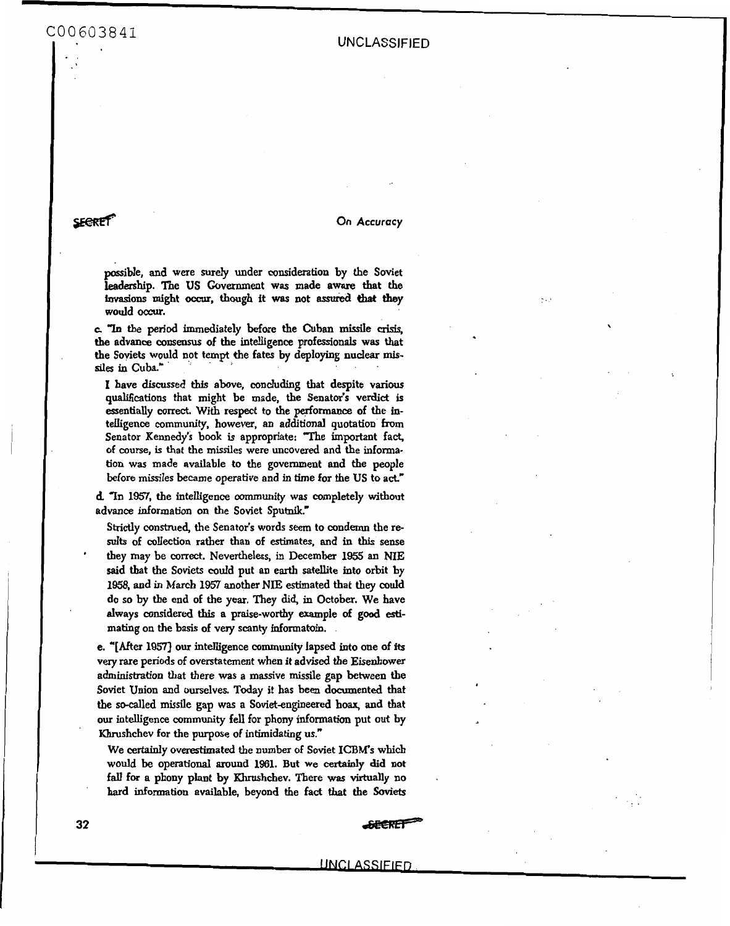**SECRET** 

**On** *Accuracy* 

possible, **and** were surely under consideration by the Soviet leadership. The US Government was made aware that the tmasions might *occ\n,* though it **wns** not assud **that** they would *occur.* 

**c** "In the **period** immediately before the Cuban missile *crisis,*  the advance **consensus** of the intelligence professionals **was** that the Soviets would not tempt the fates by deploying nuclear mis**des** in Cuba"

I have discussed **this** above, concluding that despite various **qualifications** that might be made, the Senator's verdict is essentially correct. With respect to the **perfomaace** of the intelligence community, however, an additional quotation from Senator Kennedy's book is appropriate: "The important fact, of **course,** is that the missiles were uncovered and the informa**tion** was made available **to** the government **and** the people before missiles became operative and in time for the US to act."

**d. In** *1957,* the intelligence **oommunity** was completely without advance **information on** the Soviet Sputnik."

Strictly construed, the Senator's words **seem to** condemn the re**sults** of **collection** rather than of estimates, and in **this** sense they may be **correct.** Nevertheless, in December **1955 an NIE said** that the Soviets could put an earth satellite into orbit by **1958,** and in March **1957 another** NE estimated that they could **do so by** the end of the year. They did, in October. We have always considered **this a** praise-worthy example **of good** *esti*mating **on** the basis of very **scanty** informatoin.

e. *"[After* **19571 our** intelligence **community** lapsed into one of **its**  very rare periods of overstatement when it advised the Eisenhower administration that there **was a** massive missile gap **between** the Soviet Union **and** ourselves. Today it has been documented that the so-called missile gap was a Soviet-engineered hoax, and that **our** intelligence community fell for phony information put **out** by Khrushchev for the purpose of intimidating us."

We certainly overestimated **the** number of Soviet **ICBM's** which would be operational around 1961. But we certainly did not fall **for** a phony plant by Khrushchev. There **was** virtually **no**  hard **information** available, beyond the fact **that** the *Soviets* 

'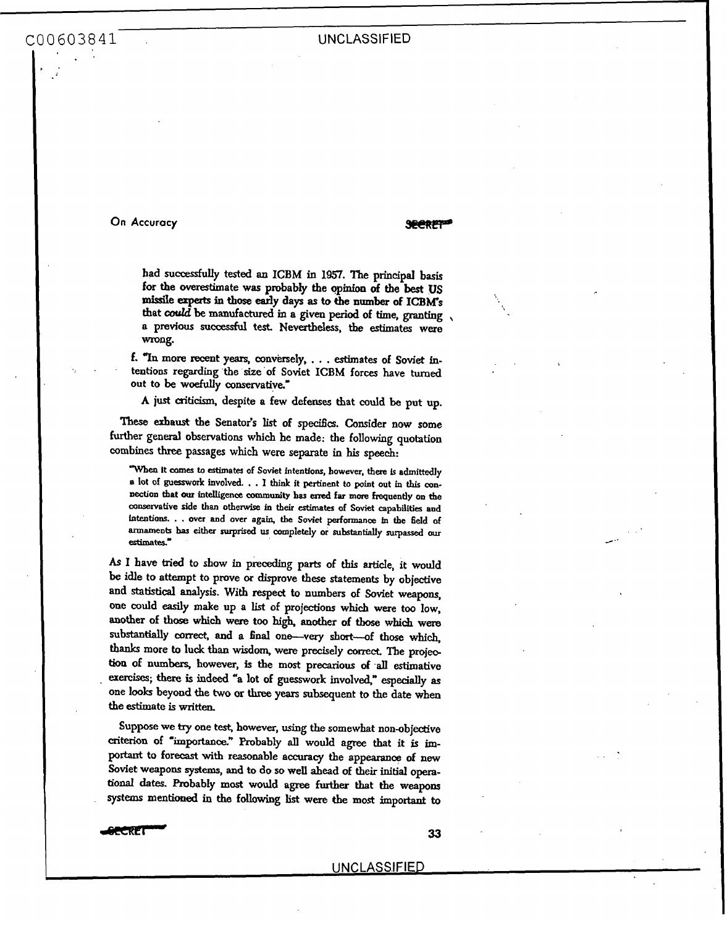**On Accuracy with the contract of the SECRET** 

had successfully **tested an ICBM** in **1957.** The principal **basis for the** overestimate was probably the **opinion of the best US**  missile experts in those early days as to the number of **ICBM's** that *could* be **manufactured m** a given **perid** of time, **granting** , a previous *sucaessful* test Nevertheless, **the** estimates **were**  wrong.

f. **"In more** recent *years,* conversely, . . . **estimates** of **Soviet** intentions **regarding the** *size* **of** Soviet **ICBM forces** have *turaed*  out to be **woefully** conservative.'

A just **criticism,** despite a few defenses that **could** be put **up** 

**These** exhaust the Senator's list **of specifics.** Consider **now** some further general observations which he made: the following **quotation**  combines three passages which were separate in **his speech:** 

**Wen It** comes **to estimates of Soviet fntentfons, however, there** Is **admittedly a** lot of guesswork involved. . . I think it pertinent to point out in this con**nection that** *OUT* **intelligence** community **has** *end* **far more frequently on the Consewative side** than **othenvise in their** estimates **of Soviet capabilities and intentions.** . . **over and over agars the Soviet pexformance in the field of armaments** has **either surprised us completely or sukstantially** *surpassed our*  **estimates"** 

**As** I have **tried** to show in **preceding** parts **of this article,** it **would**  be idle to attempt to prove or disprove these statements by objective and **statistical** analysis. **With** respect to numbers **of** Soviet weapons, one could *easily* make up a list of projections **which** were too **low, another** of **those** which **were** too **high,** another **of** tbose **which were substantially correct,** and a **final** one-very short-of those **which,**  thanks **more** to luck **than** wisdom, **were** precisely *mrrect.* **The projee tion** of **numbers,** however, is the **most** precarious **of all** estimative , exercises; **there** is **indeed "a** lot **of guesswork** involved," **especially as**  one **looks** beyond the **wo** *or* three years subsequent **to** the **date when**  the estimate is **written.** 

Suppose **we try** one *tesf* however, **using** the somewhat non-objeotive **criterion of 'importance?** Probably **all** would *agree* that it is important to forecast with reasonable accuracy the **appearance of** new Soviet **weapons** *systems,* **and** *to* do **so** well **ahead** *of* **their initial opera***tiod* **dates.** Robably **most** would **agree further** that the **weapolls**  systems mentioned in **the** following list **were the most** important to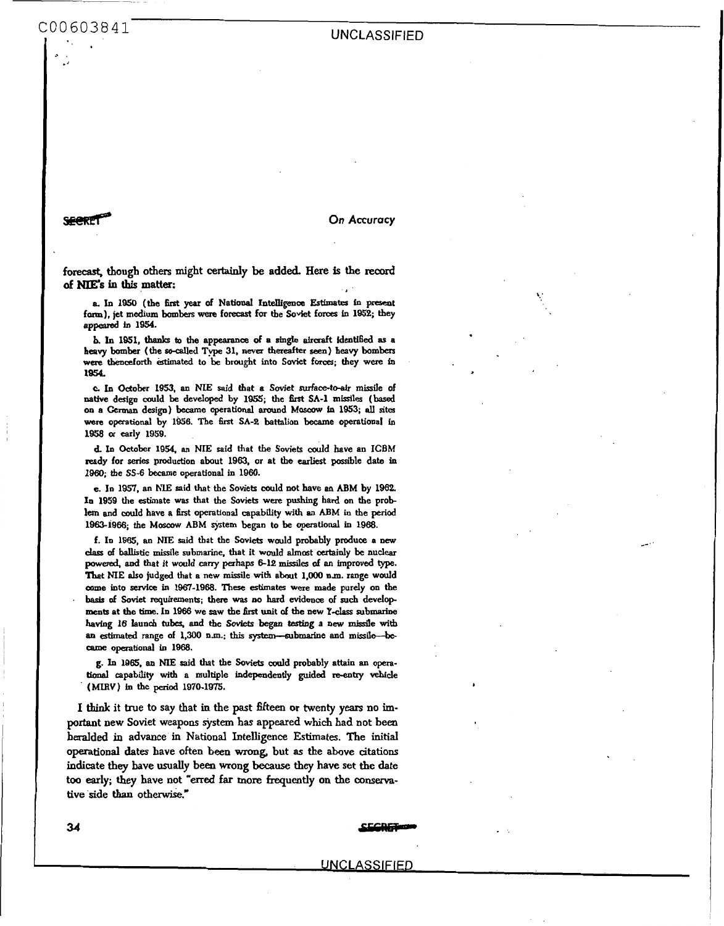**SEERET** 

**On** *Accuracy* 

forecast, **though others might certainly be added. Here is the record of ms in this matter:** 

**a.** In 1950 (the first year of National Intelligence Estimates in present **form), jet medium** bombers were **forecast for the** Soviet **forces in 1953; they appeared in 1954.** 

**b. In 1951,** thanks **to the appearance of a** *single air&* **Identified as a heavy** bomber **(the** *so-called* **Type 31, neva thereafter seen) heavy bombers were** thenceforth **estimated to be brought into Soviet farces; they were in 10%.** 

**c In October N53, an** *NIE* **said that a Soviet stuface-to-dr missile of native design could be developed by 1955; the first SA-1 missiles** (based **on a** German **design) became operational around Moxow in 1853; all sites were operational by 1956. The** first **SA4 battalion became operationd in 1058** *or* **early 1959.** 

**d. In October 1954. an NIE said that t& Soviets could have an ICBM**  ready for series production about 1963, or at the earliest possible date in **1960; tbc** *SS-6* **became operational in 1960.** 

**e. Io 1951, an NIE said that the Soviets could not have an ABM by 1962, In 1959 the estimate was that the Soviets were pushing hard on the pmb lern and muld have n 6rst operational** capability **with an ABM in the period 1963-1966; the Moscow ABM system began to** be **operational in 1968.** 

**f. In 1985, an NE said that the Soviets would probably produw a new des of ballistic missile submarine, that it would almost certainly be nuclear**  powered. **and** *that it* **would** *carry* **perhaps** *6-12* **missiles of** *en* **hproved type. That NIE also judged that a new minile with about 1,OOO nm. range would -me into service in 1967-1968. These** estimates **were made purely on the**  basis **of Soviet requirements; there was no hard evidence of** *such* **developments at the time. In 1966 we saw the first unit of the new Y-class submarine** having 16 launch tubes, and the Soviets began testing a new missile with **an estimated range of 1,300 n.m.; this system--submarine and missile-be-CBme operational in 1888.** 

**g. Ln 1985. an ME said that the Soviets dd probably attain an opera**tional **capability** with **a multiple independently guided re-entry vehicle (MIRV) in the period 1970-1975.** 

**I** think **it true to say that in the past fifteen or twenty years no important new Soviet weapons system** has **appeared which had not been heralded in advance in National Intelligence Estimates. The** initial **operational dates have often been** wrong, **but as the above** citations **indicate they have usually been wrong** because they **have set the date too early; they have not** *"erred* **far more frequently on the** conserva**tive side** than **otherwise."**  g. In 1965, an NIE said that the Soviets could probably attain an operational capability with a multiple independently guided re-entry vehicle (MIRV) in the period 1970-1975.<br> **1** think it true to say that in the past fift

.